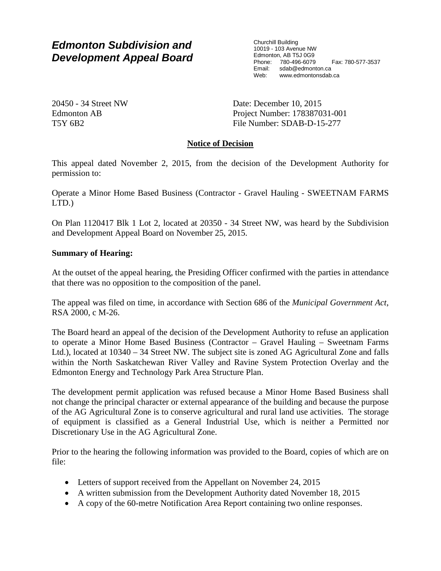# *Edmonton Subdivision and Development Appeal Board*

Churchill Building 10019 - 103 Avenue NW Edmonton, AB T5J 0G9 Phone: 780-496-6079 Fax: 780-577-3537 Email: sdab@edmonton.ca<br>Web: www.edmontonsdab www.edmontonsdab.ca

20450 - 34 Street NW Edmonton AB T5Y 6B2

Date: December 10, 2015 Project Number: 178387031-001 File Number: SDAB-D-15-277

## **Notice of Decision**

This appeal dated November 2, 2015, from the decision of the Development Authority for permission to:

Operate a Minor Home Based Business (Contractor - Gravel Hauling - SWEETNAM FARMS LTD.)

On Plan 1120417 Blk 1 Lot 2, located at 20350 - 34 Street NW, was heard by the Subdivision and Development Appeal Board on November 25, 2015.

### **Summary of Hearing:**

At the outset of the appeal hearing, the Presiding Officer confirmed with the parties in attendance that there was no opposition to the composition of the panel.

The appeal was filed on time, in accordance with Section 686 of the *Municipal Government Act*, RSA 2000, c M-26.

The Board heard an appeal of the decision of the Development Authority to refuse an application to operate a Minor Home Based Business (Contractor – Gravel Hauling – Sweetnam Farms Ltd.), located at 10340 – 34 Street NW. The subject site is zoned AG Agricultural Zone and falls within the North Saskatchewan River Valley and Ravine System Protection Overlay and the Edmonton Energy and Technology Park Area Structure Plan.

The development permit application was refused because a Minor Home Based Business shall not change the principal character or external appearance of the building and because the purpose of the AG Agricultural Zone is to conserve agricultural and rural land use activities. The storage of equipment is classified as a General Industrial Use, which is neither a Permitted nor Discretionary Use in the AG Agricultural Zone.

Prior to the hearing the following information was provided to the Board, copies of which are on file:

- Letters of support received from the Appellant on November 24, 2015
- A written submission from the Development Authority dated November 18, 2015
- A copy of the 60-metre Notification Area Report containing two online responses.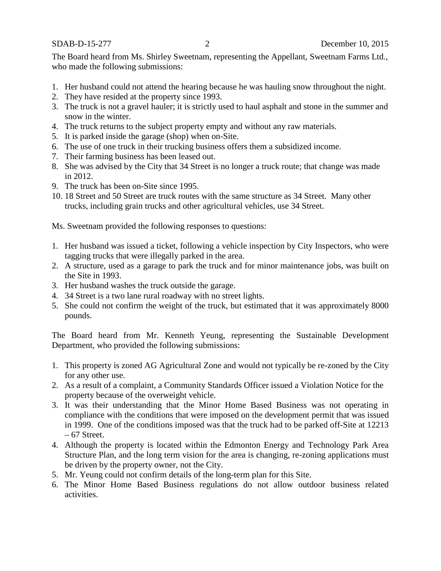The Board heard from Ms. Shirley Sweetnam, representing the Appellant, Sweetnam Farms Ltd., who made the following submissions:

- 1. Her husband could not attend the hearing because he was hauling snow throughout the night.
- 2. They have resided at the property since 1993.
- 3. The truck is not a gravel hauler; it is strictly used to haul asphalt and stone in the summer and snow in the winter.
- 4. The truck returns to the subject property empty and without any raw materials.
- 5. It is parked inside the garage (shop) when on-Site.
- 6. The use of one truck in their trucking business offers them a subsidized income.
- 7. Their farming business has been leased out.
- 8. She was advised by the City that 34 Street is no longer a truck route; that change was made in 2012.
- 9. The truck has been on-Site since 1995.
- 10. 18 Street and 50 Street are truck routes with the same structure as 34 Street. Many other trucks, including grain trucks and other agricultural vehicles, use 34 Street.

Ms. Sweetnam provided the following responses to questions:

- 1. Her husband was issued a ticket, following a vehicle inspection by City Inspectors, who were tagging trucks that were illegally parked in the area.
- 2. A structure, used as a garage to park the truck and for minor maintenance jobs, was built on the Site in 1993.
- 3. Her husband washes the truck outside the garage.
- 4. 34 Street is a two lane rural roadway with no street lights.
- 5. She could not confirm the weight of the truck, but estimated that it was approximately 8000 pounds.

The Board heard from Mr. Kenneth Yeung, representing the Sustainable Development Department, who provided the following submissions:

- 1. This property is zoned AG Agricultural Zone and would not typically be re-zoned by the City for any other use.
- 2. As a result of a complaint, a Community Standards Officer issued a Violation Notice for the property because of the overweight vehicle.
- 3. It was their understanding that the Minor Home Based Business was not operating in compliance with the conditions that were imposed on the development permit that was issued in 1999. One of the conditions imposed was that the truck had to be parked off-Site at 12213  $-67$  Street.
- 4. Although the property is located within the Edmonton Energy and Technology Park Area Structure Plan, and the long term vision for the area is changing, re-zoning applications must be driven by the property owner, not the City.
- 5. Mr. Yeung could not confirm details of the long-term plan for this Site.
- 6. The Minor Home Based Business regulations do not allow outdoor business related activities.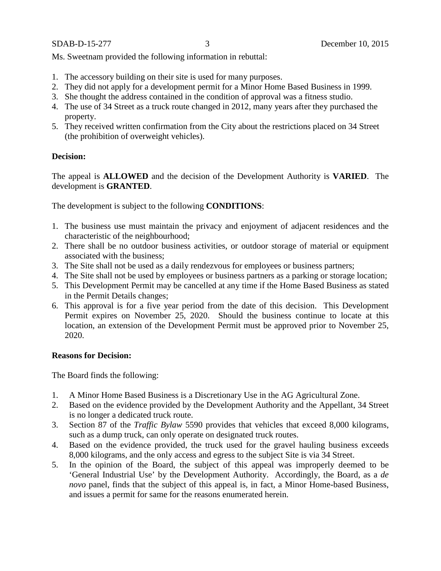Ms. Sweetnam provided the following information in rebuttal:

- 1. The accessory building on their site is used for many purposes.
- 2. They did not apply for a development permit for a Minor Home Based Business in 1999.
- 3. She thought the address contained in the condition of approval was a fitness studio.
- 4. The use of 34 Street as a truck route changed in 2012, many years after they purchased the property.
- 5. They received written confirmation from the City about the restrictions placed on 34 Street (the prohibition of overweight vehicles).

### **Decision:**

The appeal is **ALLOWED** and the decision of the Development Authority is **VARIED**. The development is **GRANTED**.

The development is subject to the following **CONDITIONS**:

- 1. The business use must maintain the privacy and enjoyment of adjacent residences and the characteristic of the neighbourhood;
- 2. There shall be no outdoor business activities, or outdoor storage of material or equipment associated with the business;
- 3. The Site shall not be used as a daily rendezvous for employees or business partners;
- 4. The Site shall not be used by employees or business partners as a parking or storage location;
- 5. This Development Permit may be cancelled at any time if the Home Based Business as stated in the Permit Details changes;
- 6. This approval is for a five year period from the date of this decision. This Development Permit expires on November 25, 2020. Should the business continue to locate at this location, an extension of the Development Permit must be approved prior to November 25, 2020.

### **Reasons for Decision:**

The Board finds the following:

- 1. A Minor Home Based Business is a Discretionary Use in the AG Agricultural Zone.
- 2. Based on the evidence provided by the Development Authority and the Appellant, 34 Street is no longer a dedicated truck route.
- 3. Section 87 of the *Traffic Bylaw* 5590 provides that vehicles that exceed 8,000 kilograms, such as a dump truck, can only operate on designated truck routes.
- 4. Based on the evidence provided, the truck used for the gravel hauling business exceeds 8,000 kilograms, and the only access and egress to the subject Site is via 34 Street.
- 5. In the opinion of the Board, the subject of this appeal was improperly deemed to be 'General Industrial Use' by the Development Authority. Accordingly, the Board, as a *de novo* panel, finds that the subject of this appeal is, in fact, a Minor Home-based Business, and issues a permit for same for the reasons enumerated herein.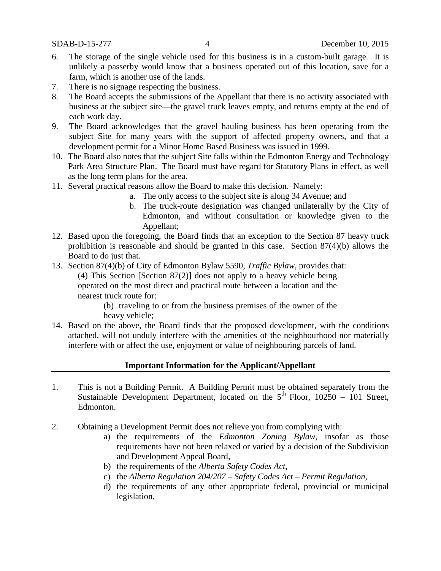- 6. The storage of the single vehicle used for this business is in a custom-built garage. It is unlikely a passerby would know that a business operated out of this location, save for a farm, which is another use of the lands.
- 7. There is no signage respecting the business.
- 8. The Board accepts the submissions of the Appellant that there is no activity associated with business at the subject site—the gravel truck leaves empty, and returns empty at the end of each work day.
- 9. The Board acknowledges that the gravel hauling business has been operating from the subject Site for many years with the support of affected property owners, and that a development permit for a Minor Home Based Business was issued in 1999.
- 10. The Board also notes that the subject Site falls within the Edmonton Energy and Technology Park Area Structure Plan. The Board must have regard for Statutory Plans in effect, as well as the long term plans for the area.
- 11. Several practical reasons allow the Board to make this decision. Namely:
	- a. The only access to the subject site is along 34 Avenue; and
	- b. The truck-route designation was changed unilaterally by the City of Edmonton, and without consultation or knowledge given to the Appellant;
- 12. Based upon the foregoing, the Board finds that an exception to the Section 87 heavy truck prohibition is reasonable and should be granted in this case. Section 87(4)(b) allows the Board to do just that.
- 13. Section 87(4)(b) of City of Edmonton Bylaw 5590, *Traffic Bylaw*, provides that: (4) This Section [Section 87(2)] does not apply to a heavy vehicle being operated on the most direct and practical route between a location and the nearest truck route for:

(b) traveling to or from the business premises of the owner of the heavy vehicle;

14. Based on the above, the Board finds that the proposed development, with the conditions attached, will not unduly interfere with the amenities of the neighbourhood nor materially interfere with or affect the use, enjoyment or value of neighbouring parcels of land.

### **Important Information for the Applicant/Appellant**

- 1. This is not a Building Permit. A Building Permit must be obtained separately from the Sustainable Development Department, located on the  $5<sup>th</sup>$  Floor, 10250 – 101 Street, Edmonton.
- 2. Obtaining a Development Permit does not relieve you from complying with:
	- a) the requirements of the *Edmonton Zoning Bylaw*, insofar as those requirements have not been relaxed or varied by a decision of the Subdivision and Development Appeal Board,
	- b) the requirements of the *Alberta Safety Codes Act*,
	- c) the *Alberta Regulation 204/207 – Safety Codes Act – Permit Regulation*,
	- d) the requirements of any other appropriate federal, provincial or municipal legislation,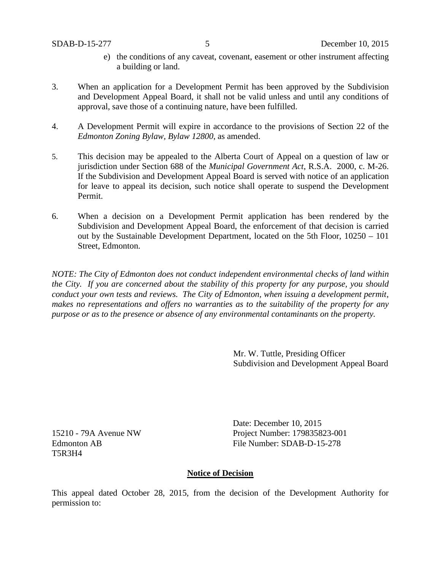- e) the conditions of any caveat, covenant, easement or other instrument affecting a building or land.
- 3. When an application for a Development Permit has been approved by the Subdivision and Development Appeal Board, it shall not be valid unless and until any conditions of approval, save those of a continuing nature, have been fulfilled.
- 4. A Development Permit will expire in accordance to the provisions of Section 22 of the *Edmonton Zoning Bylaw, Bylaw 12800*, as amended.
- 5. This decision may be appealed to the Alberta Court of Appeal on a question of law or jurisdiction under Section 688 of the *Municipal Government Act*, R.S.A. 2000, c. M-26. If the Subdivision and Development Appeal Board is served with notice of an application for leave to appeal its decision, such notice shall operate to suspend the Development Permit.
- 6. When a decision on a Development Permit application has been rendered by the Subdivision and Development Appeal Board, the enforcement of that decision is carried out by the Sustainable Development Department, located on the 5th Floor, 10250 – 101 Street, Edmonton.

*NOTE: The City of Edmonton does not conduct independent environmental checks of land within the City. If you are concerned about the stability of this property for any purpose, you should conduct your own tests and reviews. The City of Edmonton, when issuing a development permit, makes no representations and offers no warranties as to the suitability of the property for any purpose or as to the presence or absence of any environmental contaminants on the property.*

> Mr. W. Tuttle, Presiding Officer Subdivision and Development Appeal Board

15210 - 79A Avenue NW Edmonton AB T5R3H4

Date: December 10, 2015 Project Number: 179835823-001 File Number: SDAB-D-15-278

### **Notice of Decision**

This appeal dated October 28, 2015, from the decision of the Development Authority for permission to: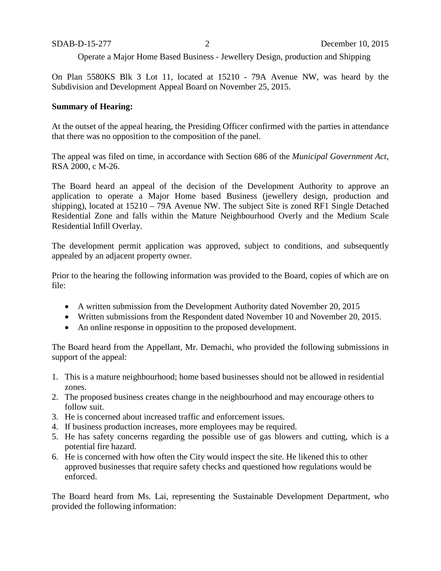Operate a Major Home Based Business - Jewellery Design, production and Shipping

On Plan 5580KS Blk 3 Lot 11, located at 15210 - 79A Avenue NW, was heard by the Subdivision and Development Appeal Board on November 25, 2015.

#### **Summary of Hearing:**

At the outset of the appeal hearing, the Presiding Officer confirmed with the parties in attendance that there was no opposition to the composition of the panel.

The appeal was filed on time, in accordance with Section 686 of the *Municipal Government Act*, RSA 2000, c M-26.

The Board heard an appeal of the decision of the Development Authority to approve an application to operate a Major Home based Business (jewellery design, production and shipping), located at 15210 – 79A Avenue NW. The subject Site is zoned RF1 Single Detached Residential Zone and falls within the Mature Neighbourhood Overly and the Medium Scale Residential Infill Overlay.

The development permit application was approved, subject to conditions, and subsequently appealed by an adjacent property owner.

Prior to the hearing the following information was provided to the Board, copies of which are on file:

- A written submission from the Development Authority dated November 20, 2015
- Written submissions from the Respondent dated November 10 and November 20, 2015.
- An online response in opposition to the proposed development.

The Board heard from the Appellant, Mr. Demachi, who provided the following submissions in support of the appeal:

- 1. This is a mature neighbourhood; home based businesses should not be allowed in residential zones.
- 2. The proposed business creates change in the neighbourhood and may encourage others to follow suit.
- 3. He is concerned about increased traffic and enforcement issues.
- 4. If business production increases, more employees may be required.
- 5. He has safety concerns regarding the possible use of gas blowers and cutting, which is a potential fire hazard.
- 6. He is concerned with how often the City would inspect the site. He likened this to other approved businesses that require safety checks and questioned how regulations would be enforced.

The Board heard from Ms. Lai, representing the Sustainable Development Department, who provided the following information: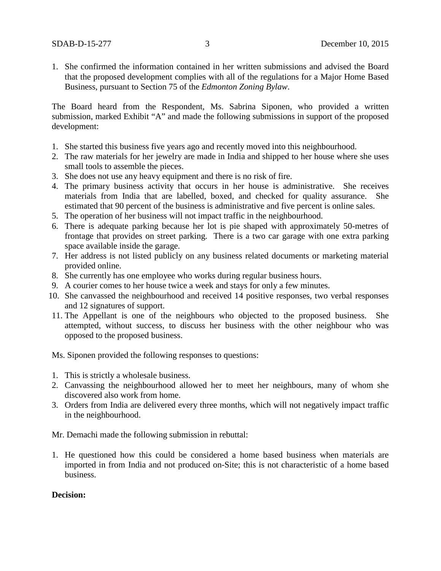1. She confirmed the information contained in her written submissions and advised the Board that the proposed development complies with all of the regulations for a Major Home Based Business, pursuant to Section 75 of the *Edmonton Zoning Bylaw*.

The Board heard from the Respondent, Ms. Sabrina Siponen, who provided a written submission, marked Exhibit "A" and made the following submissions in support of the proposed development:

- 1. She started this business five years ago and recently moved into this neighbourhood.
- 2. The raw materials for her jewelry are made in India and shipped to her house where she uses small tools to assemble the pieces.
- 3. She does not use any heavy equipment and there is no risk of fire.
- 4. The primary business activity that occurs in her house is administrative. She receives materials from India that are labelled, boxed, and checked for quality assurance. She estimated that 90 percent of the business is administrative and five percent is online sales.
- 5. The operation of her business will not impact traffic in the neighbourhood.
- 6. There is adequate parking because her lot is pie shaped with approximately 50-metres of frontage that provides on street parking. There is a two car garage with one extra parking space available inside the garage.
- 7. Her address is not listed publicly on any business related documents or marketing material provided online.
- 8. She currently has one employee who works during regular business hours.
- 9. A courier comes to her house twice a week and stays for only a few minutes.
- 10. She canvassed the neighbourhood and received 14 positive responses, two verbal responses and 12 signatures of support.
- 11. The Appellant is one of the neighbours who objected to the proposed business. She attempted, without success, to discuss her business with the other neighbour who was opposed to the proposed business.

Ms. Siponen provided the following responses to questions:

- 1. This is strictly a wholesale business.
- 2. Canvassing the neighbourhood allowed her to meet her neighbours, many of whom she discovered also work from home.
- 3. Orders from India are delivered every three months, which will not negatively impact traffic in the neighbourhood.

Mr. Demachi made the following submission in rebuttal:

1. He questioned how this could be considered a home based business when materials are imported in from India and not produced on-Site; this is not characteristic of a home based business.

#### **Decision:**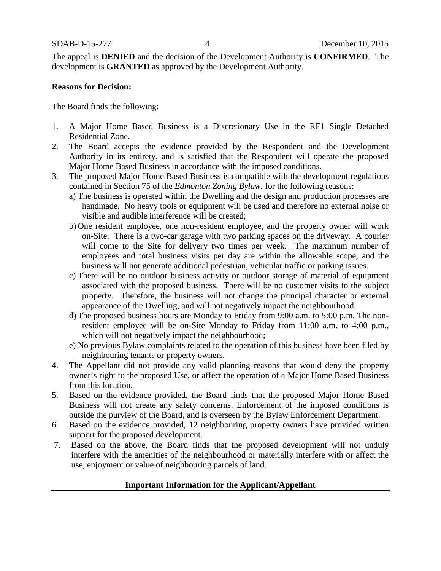The appeal is **DENIED** and the decision of the Development Authority is **CONFIRMED**. The development is **GRANTED** as approved by the Development Authority.

#### **Reasons for Decision:**

The Board finds the following:

- 1. A Major Home Based Business is a Discretionary Use in the RF1 Single Detached Residential Zone.
- 2. The Board accepts the evidence provided by the Respondent and the Development Authority in its entirety, and is satisfied that the Respondent will operate the proposed Major Home Based Business in accordance with the imposed conditions.
- 3. The proposed Major Home Based Business is compatible with the development regulations contained in Section 75 of the *Edmonton Zoning Bylaw*, for the following reasons:
	- a) The business is operated within the Dwelling and the design and production processes are handmade. No heavy tools or equipment will be used and therefore no external noise or visible and audible interference will be created;
	- b) One resident employee, one non-resident employee, and the property owner will work on-Site. There is a two-car garage with two parking spaces on the driveway. A courier will come to the Site for delivery two times per week. The maximum number of employees and total business visits per day are within the allowable scope, and the business will not generate additional pedestrian, vehicular traffic or parking issues.
	- c) There will be no outdoor business activity or outdoor storage of material of equipment associated with the proposed business. There will be no customer visits to the subject property. Therefore, the business will not change the principal character or external appearance of the Dwelling, and will not negatively impact the neighbourhood.
	- d) The proposed business hours are Monday to Friday from 9:00 a.m. to 5:00 p.m. The nonresident employee will be on-Site Monday to Friday from 11:00 a.m. to 4:00 p.m., which will not negatively impact the neighbourhood;
	- e) No previous Bylaw complaints related to the operation of this business have been filed by neighbouring tenants or property owners.
- 4. The Appellant did not provide any valid planning reasons that would deny the property owner's right to the proposed Use, or affect the operation of a Major Home Based Business from this location.
- 5. Based on the evidence provided, the Board finds that the proposed Major Home Based Business will not create any safety concerns. Enforcement of the imposed conditions is outside the purview of the Board, and is overseen by the Bylaw Enforcement Department.
- 6. Based on the evidence provided, 12 neighbouring property owners have provided written support for the proposed development.
- 7. Based on the above, the Board finds that the proposed development will not unduly interfere with the amenities of the neighbourhood or materially interfere with or affect the use, enjoyment or value of neighbouring parcels of land.

### **Important Information for the Applicant/Appellant**